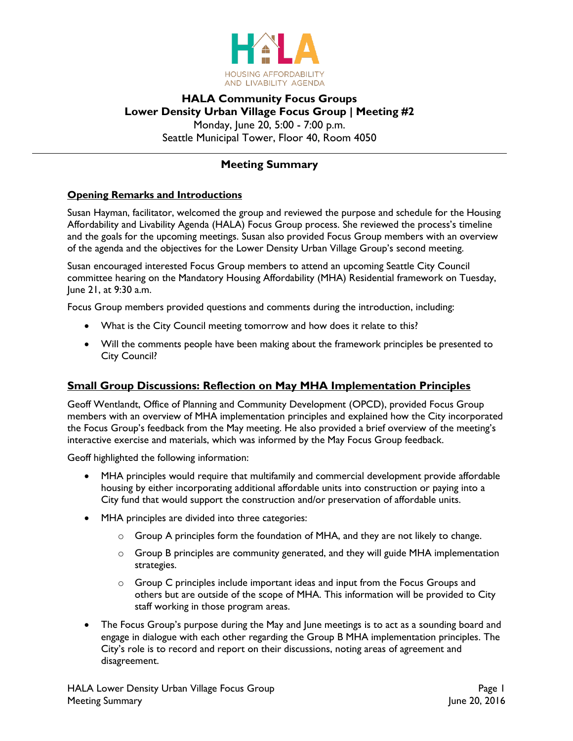

# **HALA Community Focus Groups Lower Density Urban Village Focus Group | Meeting #2** Monday, June 20, 5:00 - 7:00 p.m. Seattle Municipal Tower, Floor 40, Room 4050

# **Meeting Summary**

### **Opening Remarks and Introductions**

Susan Hayman, facilitator, welcomed the group and reviewed the purpose and schedule for the Housing Affordability and Livability Agenda (HALA) Focus Group process. She reviewed the process's timeline and the goals for the upcoming meetings. Susan also provided Focus Group members with an overview of the agenda and the objectives for the Lower Density Urban Village Group's second meeting.

Susan encouraged interested Focus Group members to attend an upcoming Seattle City Council committee hearing on the Mandatory Housing Affordability (MHA) Residential framework on Tuesday, June 21, at 9:30 a.m.

Focus Group members provided questions and comments during the introduction, including:

- What is the City Council meeting tomorrow and how does it relate to this?
- Will the comments people have been making about the framework principles be presented to City Council?

## **Small Group Discussions: Reflection on May MHA Implementation Principles**

Geoff Wentlandt, Office of Planning and Community Development (OPCD), provided Focus Group members with an overview of MHA implementation principles and explained how the City incorporated the Focus Group's feedback from the May meeting. He also provided a brief overview of the meeting's interactive exercise and materials, which was informed by the May Focus Group feedback.

Geoff highlighted the following information:

- MHA principles would require that multifamily and commercial development provide affordable housing by either incorporating additional affordable units into construction or paying into a City fund that would support the construction and/or preservation of affordable units.
- MHA principles are divided into three categories:
	- $\circ$  Group A principles form the foundation of MHA, and they are not likely to change.
	- $\circ$  Group B principles are community generated, and they will guide MHA implementation strategies.
	- $\circ$  Group C principles include important ideas and input from the Focus Groups and others but are outside of the scope of MHA. This information will be provided to City staff working in those program areas.
- The Focus Group's purpose during the May and June meetings is to act as a sounding board and engage in dialogue with each other regarding the Group B MHA implementation principles. The City's role is to record and report on their discussions, noting areas of agreement and disagreement.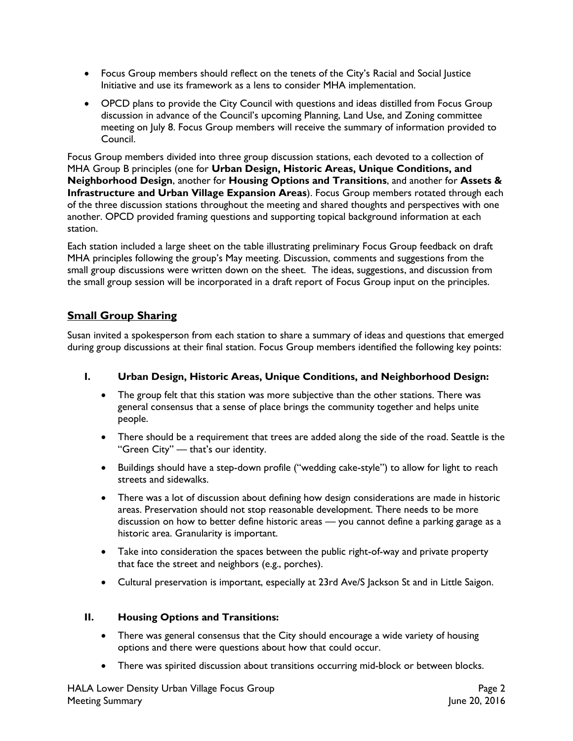- Focus Group members should reflect on the tenets of the City's Racial and Social Justice Initiative and use its framework as a lens to consider MHA implementation.
- OPCD plans to provide the City Council with questions and ideas distilled from Focus Group discussion in advance of the Council's upcoming Planning, Land Use, and Zoning committee meeting on July 8. Focus Group members will receive the summary of information provided to Council.

Focus Group members divided into three group discussion stations, each devoted to a collection of MHA Group B principles (one for **Urban Design, Historic Areas, Unique Conditions, and Neighborhood Design**, another for **Housing Options and Transitions**, and another for **Assets & Infrastructure and Urban Village Expansion Areas**). Focus Group members rotated through each of the three discussion stations throughout the meeting and shared thoughts and perspectives with one another. OPCD provided framing questions and supporting topical background information at each station.

Each station included a large sheet on the table illustrating preliminary Focus Group feedback on draft MHA principles following the group's May meeting. Discussion, comments and suggestions from the small group discussions were written down on the sheet. The ideas, suggestions, and discussion from the small group session will be incorporated in a draft report of Focus Group input on the principles.

# **Small Group Sharing**

Susan invited a spokesperson from each station to share a summary of ideas and questions that emerged during group discussions at their final station. Focus Group members identified the following key points:

#### **I. Urban Design, Historic Areas, Unique Conditions, and Neighborhood Design:**

- The group felt that this station was more subjective than the other stations. There was general consensus that a sense of place brings the community together and helps unite people.
- There should be a requirement that trees are added along the side of the road. Seattle is the "Green City" — that's our identity.
- Buildings should have a step-down profile ("wedding cake-style") to allow for light to reach streets and sidewalks.
- There was a lot of discussion about defining how design considerations are made in historic areas. Preservation should not stop reasonable development. There needs to be more discussion on how to better define historic areas — you cannot define a parking garage as a historic area. Granularity is important.
- Take into consideration the spaces between the public right-of-way and private property that face the street and neighbors (e.g., porches).
- Cultural preservation is important, especially at 23rd Ave/S Jackson St and in Little Saigon.

#### **II. Housing Options and Transitions:**

- There was general consensus that the City should encourage a wide variety of housing options and there were questions about how that could occur.
- There was spirited discussion about transitions occurring mid-block or between blocks.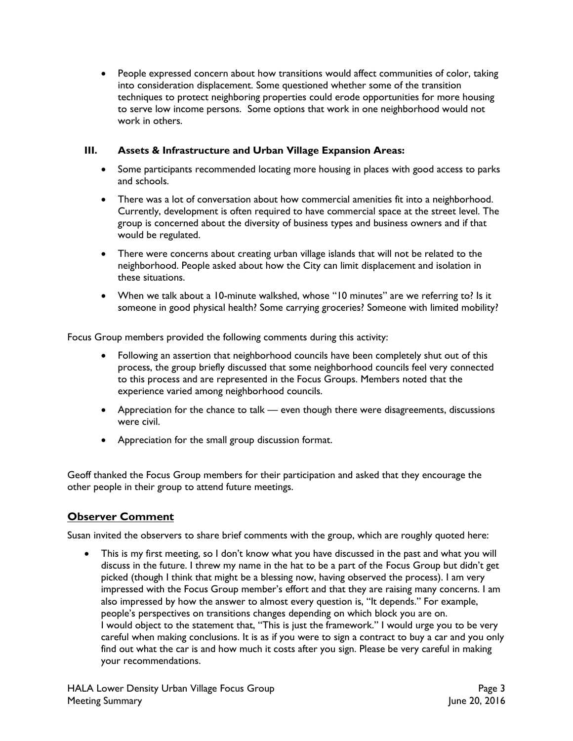People expressed concern about how transitions would affect communities of color, taking into consideration displacement. Some questioned whether some of the transition techniques to protect neighboring properties could erode opportunities for more housing to serve low income persons. Some options that work in one neighborhood would not work in others.

## **III. Assets & Infrastructure and Urban Village Expansion Areas:**

- Some participants recommended locating more housing in places with good access to parks and schools.
- There was a lot of conversation about how commercial amenities fit into a neighborhood. Currently, development is often required to have commercial space at the street level. The group is concerned about the diversity of business types and business owners and if that would be regulated.
- There were concerns about creating urban village islands that will not be related to the neighborhood. People asked about how the City can limit displacement and isolation in these situations.
- When we talk about a 10-minute walkshed, whose "10 minutes" are we referring to? Is it someone in good physical health? Some carrying groceries? Someone with limited mobility?

Focus Group members provided the following comments during this activity:

- Following an assertion that neighborhood councils have been completely shut out of this process, the group briefly discussed that some neighborhood councils feel very connected to this process and are represented in the Focus Groups. Members noted that the experience varied among neighborhood councils.
- Appreciation for the chance to talk even though there were disagreements, discussions were civil.
- Appreciation for the small group discussion format.

Geoff thanked the Focus Group members for their participation and asked that they encourage the other people in their group to attend future meetings.

## **Observer Comment**

Susan invited the observers to share brief comments with the group, which are roughly quoted here:

• This is my first meeting, so I don't know what you have discussed in the past and what you will discuss in the future. I threw my name in the hat to be a part of the Focus Group but didn't get picked (though I think that might be a blessing now, having observed the process). I am very impressed with the Focus Group member's effort and that they are raising many concerns. I am also impressed by how the answer to almost every question is, "It depends." For example, people's perspectives on transitions changes depending on which block you are on. I would object to the statement that, "This is just the framework." I would urge you to be very careful when making conclusions. It is as if you were to sign a contract to buy a car and you only find out what the car is and how much it costs after you sign. Please be very careful in making your recommendations.